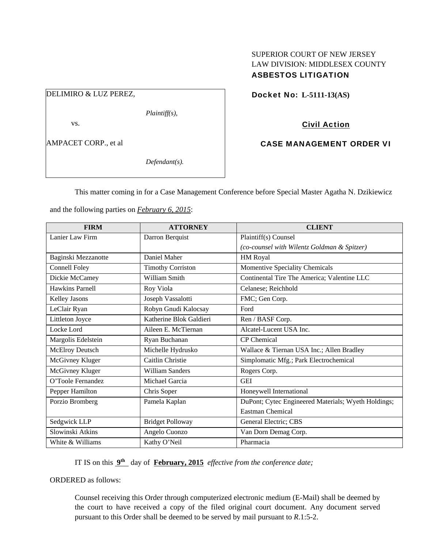# SUPERIOR COURT OF NEW JERSEY LAW DIVISION: MIDDLESEX COUNTY ASBESTOS LITIGATION

# DELIMIRO & LUZ PEREZ,

*Plaintiff(s),* 

vs.

AMPACET CORP., et al

*Defendant(s).* 

# Docket No: **L-5111-13(AS)**

# Civil Action

## CASE MANAGEMENT ORDER VI

This matter coming in for a Case Management Conference before Special Master Agatha N. Dzikiewicz

| <b>FIRM</b>         | <b>ATTORNEY</b>          | <b>CLIENT</b>                                       |
|---------------------|--------------------------|-----------------------------------------------------|
| Lanier Law Firm     | Darron Berquist          | Plaintiff(s) Counsel                                |
|                     |                          | (co-counsel with Wilentz Goldman & Spitzer)         |
| Baginski Mezzanotte | Daniel Maher             | HM Royal                                            |
| Connell Foley       | <b>Timothy Corriston</b> | Momentive Speciality Chemicals                      |
| Dickie McCamey      | William Smith            | Continental Tire The America; Valentine LLC         |
| Hawkins Parnell     | Roy Viola                | Celanese; Reichhold                                 |
| Kelley Jasons       | Joseph Vassalotti        | FMC; Gen Corp.                                      |
| LeClair Ryan        | Robyn Gnudi Kalocsay     | Ford                                                |
| Littleton Joyce     | Katherine Blok Galdieri  | Ren / BASF Corp.                                    |
| Locke Lord          | Aileen E. McTiernan      | Alcatel-Lucent USA Inc.                             |
| Margolis Edelstein  | Ryan Buchanan            | CP Chemical                                         |
| McElroy Deutsch     | Michelle Hydrusko        | Wallace & Tiernan USA Inc.; Allen Bradley           |
| McGivney Kluger     | Caitlin Christie         | Simplomatic Mfg.; Park Electrochemical              |
| McGivney Kluger     | <b>William Sanders</b>   | Rogers Corp.                                        |
| O'Toole Fernandez   | Michael Garcia           | <b>GEI</b>                                          |
| Pepper Hamilton     | Chris Soper              | Honeywell International                             |
| Porzio Bromberg     | Pamela Kaplan            | DuPont; Cytec Engineered Materials; Wyeth Holdings; |
|                     |                          | Eastman Chemical                                    |
| Sedgwick LLP        | <b>Bridget Polloway</b>  | General Electric; CBS                               |
| Slowinski Atkins    | Angelo Cuonzo            | Van Dorn Demag Corp.                                |
| White & Williams    | Kathy O'Neil             | Pharmacia                                           |

and the following parties on *February 6, 2015*:

IT IS on this **9th** day of **February, 2015** *effective from the conference date;*

ORDERED as follows:

Counsel receiving this Order through computerized electronic medium (E-Mail) shall be deemed by the court to have received a copy of the filed original court document. Any document served pursuant to this Order shall be deemed to be served by mail pursuant to *R*.1:5-2.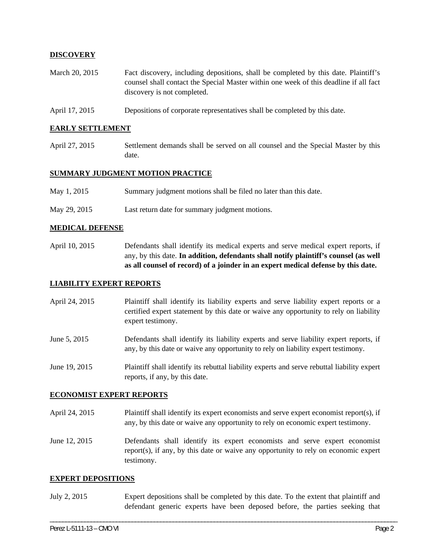### **DISCOVERY**

- March 20, 2015 Fact discovery, including depositions, shall be completed by this date. Plaintiff's counsel shall contact the Special Master within one week of this deadline if all fact discovery is not completed.
- April 17, 2015 Depositions of corporate representatives shall be completed by this date.

### **EARLY SETTLEMENT**

April 27, 2015 Settlement demands shall be served on all counsel and the Special Master by this date.

### **SUMMARY JUDGMENT MOTION PRACTICE**

- May 1, 2015 Summary judgment motions shall be filed no later than this date.
- May 29, 2015 Last return date for summary judgment motions.

#### **MEDICAL DEFENSE**

April 10, 2015 Defendants shall identify its medical experts and serve medical expert reports, if any, by this date. **In addition, defendants shall notify plaintiff's counsel (as well as all counsel of record) of a joinder in an expert medical defense by this date.** 

#### **LIABILITY EXPERT REPORTS**

- April 24, 2015 Plaintiff shall identify its liability experts and serve liability expert reports or a certified expert statement by this date or waive any opportunity to rely on liability expert testimony.
- June 5, 2015 Defendants shall identify its liability experts and serve liability expert reports, if any, by this date or waive any opportunity to rely on liability expert testimony.
- June 19, 2015 Plaintiff shall identify its rebuttal liability experts and serve rebuttal liability expert reports, if any, by this date.

#### **ECONOMIST EXPERT REPORTS**

April 24, 2015 Plaintiff shall identify its expert economists and serve expert economist report(s), if any, by this date or waive any opportunity to rely on economic expert testimony.

June 12, 2015 Defendants shall identify its expert economists and serve expert economist report(s), if any, by this date or waive any opportunity to rely on economic expert testimony.

#### **EXPERT DEPOSITIONS**

July 2, 2015 Expert depositions shall be completed by this date. To the extent that plaintiff and defendant generic experts have been deposed before, the parties seeking that

\_\_\_\_\_\_\_\_\_\_\_\_\_\_\_\_\_\_\_\_\_\_\_\_\_\_\_\_\_\_\_\_\_\_\_\_\_\_\_\_\_\_\_\_\_\_\_\_\_\_\_\_\_\_\_\_\_\_\_\_\_\_\_\_\_\_\_\_\_\_\_\_\_\_\_\_\_\_\_\_\_\_\_\_\_\_\_\_\_\_\_\_\_\_\_\_\_\_\_\_\_\_\_\_\_\_\_\_\_\_